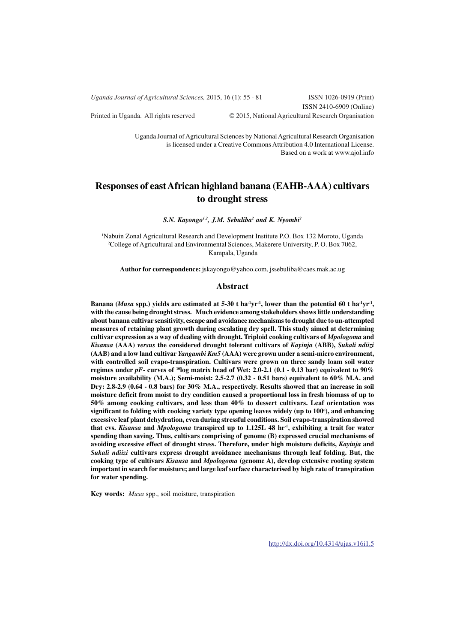*Uganda Journal of Agricultural Sciences,* 2015, 16 (1): 55 - 81 ISSN 1026-0919 (Print) ISSN 2410-6909 (Online) Printed in Uganda. All rights reserved © 2015, National Agricultural Research Organisation

> Uganda Journal of Agricultural Sciences by National Agricultural Research Organisation is licensed under a Creative Commons Attribution 4.0 International License. Based on a work at www.ajol.info

## **Responses of east African highland banana (EAHB-AAA) cultivars to drought stress**

*S.N. Kayongo1,2, J.M. Sebuliba<sup>2</sup> and K. Nyombi<sup>2</sup>*

<sup>1</sup>Nabuin Zonal Agricultural Research and Development Institute P.O. Box 132 Moroto, Uganda <sup>2</sup>College of Agricultural and Environmental Sciences, Makerere University, P. O. Box 7062, Kampala, Uganda

**Author for correspondence:** jskayongo@yahoo.com, jssebuliba@caes.mak.ac.ug

#### **Abstract**

**Banana (***Musa* **spp.) yields are estimated at 5-30 t ha-1yr-1, lower than the potential 60 t ha-1yr-1 , with the cause being drought stress. Much evidence among stakeholders shows little understanding about banana cultivar sensitivity, escape and avoidance mechanisms to drought due to un-attempted measures of retaining plant growth during escalating dry spell. This study aimed at determining cultivar expression as a way of dealing with drought. Triploid cooking cultivars of** *Mpologoma* **and** *Kisansa* **(AAA)** *versus* **the considered drought tolerant cultivars of** *Kayinja* **(ABB),** *Sukali ndiizi* **(AAB) and a low land cultivar** *Yangambi Km5* **(AAA) were grown under a semi-micro environment, with controlled soil evapo-transpiration. Cultivars were grown on three sandy loam soil water regimes under**  $pF$ **- curves of <sup>10</sup>log matrix head of Wet: 2.0-2.1 (0.1 - 0.13 bar) equivalent to 90% moisture availability (M.A.); Semi-moist: 2.5-2.7 (0.32 - 0.51 bars) equivalent to 60% M.A. and Dry: 2.8-2.9 (0.64 - 0.8 bars) for 30% M.A., respectively. Results showed that an increase in soil moisture deficit from moist to dry condition caused a proportional loss in fresh biomass of up to 50% among cooking cultivars, and less than 40% to dessert cultivars. Leaf orientation was significant to folding with cooking variety type opening leaves widely (up to 100<sup>o</sup> ), and enhancing excessive leaf plant dehydration, even during stressful conditions. Soil evapo-transpiration showed that cvs.** *Kisansa* **and** *Mpologoma* **transpired up to 1.125L 48 hr-1, exhibiting a trait for water spending than saving. Thus, cultivars comprising of genome (B) expressed crucial mechanisms of avoiding excessive effect of drought stress. Therefore, under high moisture deficits,** *Kayinja* **and** *Sukali ndiizi* **cultivars express drought avoidance mechanisms through leaf folding. But, the cooking type of cultivars** *Kisansa* **and** *Mpologoma* **(genome A), develop extensive rooting system important in search for moisture; and large leaf surface characterised by high rate of transpiration for water spending.**

**Key words:** *Musa* spp., soil moisture, transpiration

http://dx.doi.org/10.4314/ujas.v16i1.5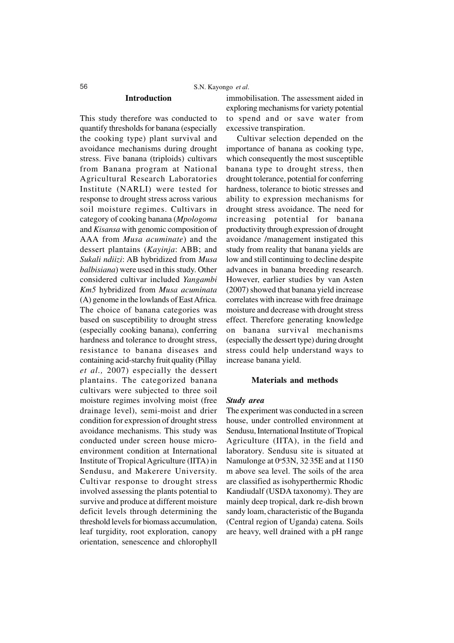## 56 S.N. Kayongo *et al*.

#### **Introduction**

This study therefore was conducted to quantify thresholds for banana (especially the cooking type) plant survival and avoidance mechanisms during drought stress. Five banana (triploids) cultivars from Banana program at National Agricultural Research Laboratories Institute (NARLI) were tested for response to drought stress across various soil moisture regimes. Cultivars in category of cooking banana (*Mpologoma* and *Kisansa* with genomic composition of AAA from *Musa acuminate*) and the dessert plantains (*Kayinja*: ABB; and *Sukali ndiizi*: AB hybridized from *Musa balbisiana*) were used in this study. Other considered cultivar included *Yangambi Km5* hybridized from *Musa acuminata* (A) genome in the lowlands of East Africa. The choice of banana categories was based on susceptibility to drought stress (especially cooking banana), conferring hardness and tolerance to drought stress, resistance to banana diseases and containing acid-starchy fruit quality (Pillay *et al.,* 2007) especially the dessert plantains. The categorized banana cultivars were subjected to three soil moisture regimes involving moist (free drainage level), semi-moist and drier condition for expression of drought stress avoidance mechanisms. This study was conducted under screen house microenvironment condition at International Institute of Tropical Agriculture (IITA) in Sendusu, and Makerere University. Cultivar response to drought stress involved assessing the plants potential to survive and produce at different moisture deficit levels through determining the threshold levels for biomass accumulation, leaf turgidity, root exploration, canopy orientation, senescence and chlorophyll

immobilisation. The assessment aided in exploring mechanisms for variety potential to spend and or save water from excessive transpiration.

Cultivar selection depended on the importance of banana as cooking type, which consequently the most susceptible banana type to drought stress, then drought tolerance, potential for conferring hardness, tolerance to biotic stresses and ability to expression mechanisms for drought stress avoidance. The need for increasing potential for banana productivity through expression of drought avoidance /management instigated this study from reality that banana yields are low and still continuing to decline despite advances in banana breeding research. However, earlier studies by van Asten (2007) showed that banana yield increase correlates with increase with free drainage moisture and decrease with drought stress effect. Therefore generating knowledge on banana survival mechanisms (especially the dessert type) during drought stress could help understand ways to increase banana yield.

## **Materials and methods**

#### *Study area*

The experiment was conducted in a screen house, under controlled environment at Sendusu, International Institute of Tropical Agriculture (IITA), in the field and laboratory. Sendusu site is situated at Namulonge at  $0°53N$ ,  $32.35E$  and at 1150 m above sea level. The soils of the area are classified as isohyperthermic Rhodic Kandiudalf (USDA taxonomy). They are mainly deep tropical, dark re-dish brown sandy loam, characteristic of the Buganda (Central region of Uganda) catena. Soils are heavy, well drained with a pH range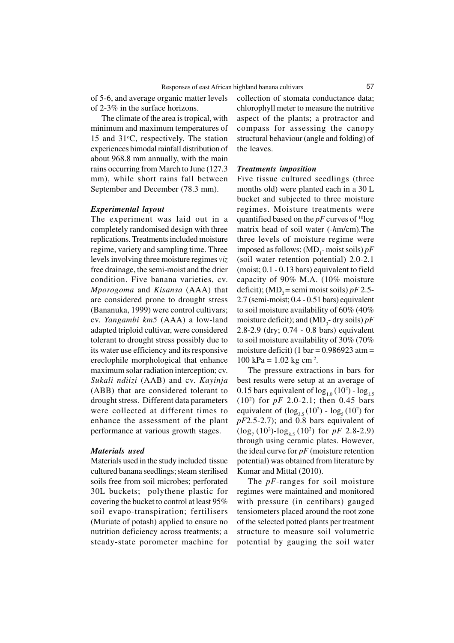of 5-6, and average organic matter levels of 2-3% in the surface horizons.

The climate of the area is tropical, with minimum and maximum temperatures of 15 and  $31^{\circ}$ C, respectively. The station experiences bimodal rainfall distribution of about 968.8 mm annually, with the main rains occurring from March to June (127.3 mm), while short rains fall between September and December (78.3 mm).

#### *Experimental layout*

The experiment was laid out in a completely randomised design with three replications. Treatments included moisture regime, variety and sampling time. Three levels involving three moisture regimes *viz* free drainage, the semi-moist and the drier condition. Five banana varieties, cv. *Mporogoma* and *Kisansa* (AAA) that are considered prone to drought stress (Bananuka, 1999) were control cultivars; cv. *Yangambi km5* (AAA) a low-land adapted triploid cultivar, were considered tolerant to drought stress possibly due to its water use efficiency and its responsive ereclophile morphological that enhance maximum solar radiation interception; cv. *Sukali ndiizi* (AAB) and cv. *Kayinja* (ABB) that are considered tolerant to drought stress. Different data parameters were collected at different times to enhance the assessment of the plant performance at various growth stages.

## *Materials used*

Materials used in the study included tissue cultured banana seedlings; steam sterilised soils free from soil microbes; perforated 30L buckets; polythene plastic for covering the bucket to control at least 95% soil evapo-transpiration; fertilisers (Muriate of potash) applied to ensure no nutrition deficiency across treatments; a steady-state porometer machine for collection of stomata conductance data; chlorophyll meter to measure the nutritive aspect of the plants; a protractor and compass for assessing the canopy structural behaviour (angle and folding) of the leaves.

#### *Treatments imposition*

Five tissue cultured seedlings (three months old) were planted each in a 30 L bucket and subjected to three moisture regimes. Moisture treatments were quantified based on the *pF* curves of <sup>10</sup>log matrix head of soil water (-*h*m/cm).The three levels of moisture regime were imposed as follows:  $(MD_1$ -moist soils)  $pF$ (soil water retention potential) 2.0-2.1 (moist; 0.1 - 0.13 bars) equivalent to field capacity of 90% M.A. (10% moisture deficit);  $(MD<sub>2</sub> = semi moist soils) pF 2.5-$ 2.7 (semi-moist; 0.4 - 0.51 bars) equivalent to soil moisture availability of 60% (40% moisture deficit); and  $(MD_3$ - dry soils)  $pF$ 2.8-2.9 (dry; 0.74 - 0.8 bars) equivalent to soil moisture availability of 30% (70% moisture deficit) (1 bar =  $0.986923$  atm =  $100 \text{ kPa} = 1.02 \text{ kg cm}^2$ .

The pressure extractions in bars for best results were setup at an average of 0.15 bars equivalent of  $\log_{1.0} (10^2)$  -  $\log_{1.5}$  $(10^2)$  for *pF* 2.0-2.1; then 0.45 bars equivalent of  $(\log_{3.5} (10^2) - \log_5 (10^2))$  for *pF*2.5-2.7); and 0.8 bars equivalent of  $(\log_7 (10^2)$ - $\log_{8.5} (10^2)$  for *pF* 2.8-2.9) through using ceramic plates. However, the ideal curve for *pF* (moisture retention potential) was obtained from literature by Kumar and Mittal (2010).

The *pF*-ranges for soil moisture regimes were maintained and monitored with pressure (in centibars) gauged tensiometers placed around the root zone of the selected potted plants per treatment structure to measure soil volumetric potential by gauging the soil water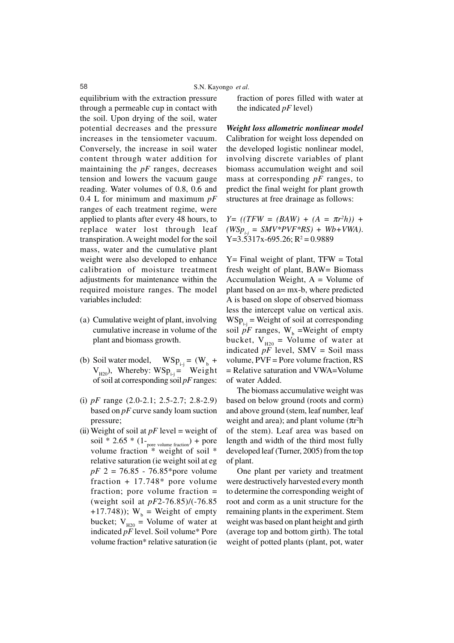equilibrium with the extraction pressure through a permeable cup in contact with the soil. Upon drying of the soil, water potential decreases and the pressure increases in the tensiometer vacuum. Conversely, the increase in soil water content through water addition for maintaining the *pF* ranges, decreases tension and lowers the vacuum gauge reading. Water volumes of 0.8, 0.6 and 0.4 L for minimum and maximum *pF* ranges of each treatment regime, were applied to plants after every 48 hours, to replace water lost through leaf transpiration. A weight model for the soil mass, water and the cumulative plant weight were also developed to enhance calibration of moisture treatment adjustments for maintenance within the required moisture ranges. The model variables included:

- (a) Cumulative weight of plant, involving cumulative increase in volume of the plant and biomass growth.
- (b) Soil water model,  $WSp_{i-i} = (W_b +$  $V_{H20}$ , Whereby:  $WSp_{11} = W^2$  Weight of soil at corresponding soil *pF* ranges:
- (i) *pF* range (2.0-2.1; 2.5-2.7; 2.8-2.9) based on *pF* curve sandy loam suction pressure;
- (ii) Weight of soil at  $pF$  level = weight of soil \* 2.65 \*  $(1 -_{\text{pore volume fraction}}) + \text{pore}$ volume fraction \* weight of soil \* relative saturation (ie weight soil at eg *pF* 2 = 76.85 - 76.85\*pore volume fraction  $+ 17.748*$  pore volume fraction; pore volume fraction = (weight soil at *pF*2-76.85)/(-76.85 +17.748));  $W_b$  = Weight of empty bucket;  $V_{H20}$  = Volume of water at indicated *pF* level. Soil volume\* Pore volume fraction\* relative saturation (ie

fraction of pores filled with water at the indicated *pF* level)

*Weight loss allometric nonlinear model* Calibration for weight loss depended on the developed logistic nonlinear model, involving discrete variables of plant biomass accumulation weight and soil mass at corresponding *pF* ranges, to predict the final weight for plant growth structures at free drainage as follows:

 $Y = ((TFW = (BAW) + (A = \pi r^2 h)) + (A - \pi r^2 h)$  $(WSp_{i,j} = SMV^*PVF^*RS) + Wb+VWA).$  $Y=3.5317x-695.26; R^2=0.9889$ 

 $Y =$  Final weight of plant, TFW = Total fresh weight of plant, BAW= Biomass Accumulation Weight,  $A =$  Volume of plant based on a= mx-b, where predicted A is based on slope of observed biomass less the intercept value on vertical axis.  $WSp_{i,j}$  = Weight of soil at corresponding soil  $pF$  ranges,  $W_b$  =Weight of empty bucket,  $V_{H20}$  = Volume of water at indicated  $pF$  level, SMV = Soil mass volume, PVF = Pore volume fraction, RS = Relative saturation and VWA=Volume of water Added.

The biomass accumulative weight was based on below ground (roots and corm) and above ground (stem, leaf number, leaf weight and area); and plant volume  $(\pi r^2 h)$ of the stem). Leaf area was based on length and width of the third most fully developed leaf (Turner, 2005) from the top of plant.

One plant per variety and treatment were destructively harvested every month to determine the corresponding weight of root and corm as a unit structure for the remaining plants in the experiment. Stem weight was based on plant height and girth (average top and bottom girth). The total weight of potted plants (plant, pot, water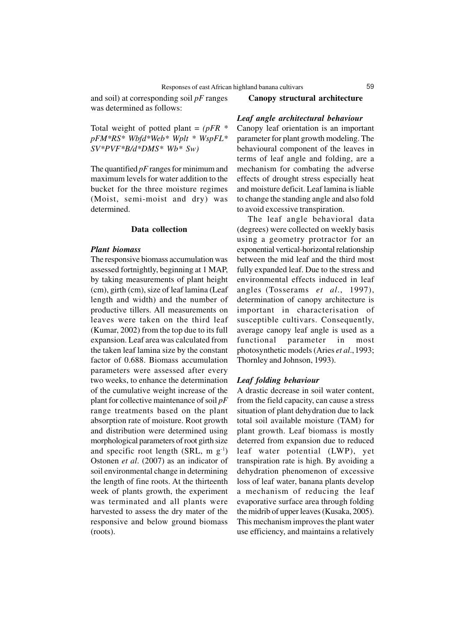and soil) at corresponding soil *pF* ranges was determined as follows:

Total weight of potted plant = *(pFR \* pFM\*RS\* Wbfd\*Web\* Wplt \* WspFL\* SV\*PVF\*B/d\*DMS\* Wb\* Sw)*

The quantified *pF* ranges for minimum and maximum levels for water addition to the bucket for the three moisture regimes (Moist, semi-moist and dry) was determined.

## **Data collection**

## *Plant biomass*

The responsive biomass accumulation was assessed fortnightly, beginning at 1 MAP, by taking measurements of plant height (cm), girth (cm), size of leaf lamina (Leaf length and width) and the number of productive tillers. All measurements on leaves were taken on the third leaf (Kumar, 2002) from the top due to its full expansion. Leaf area was calculated from the taken leaf lamina size by the constant factor of 0.688. Biomass accumulation parameters were assessed after every two weeks, to enhance the determination of the cumulative weight increase of the plant for collective maintenance of soil *pF* range treatments based on the plant absorption rate of moisture. Root growth and distribution were determined using morphological parameters of root girth size and specific root length (SRL,  $m g^{-1}$ ) Ostonen *et al*. (2007) as an indicator of soil environmental change in determining the length of fine roots. At the thirteenth week of plants growth, the experiment was terminated and all plants were harvested to assess the dry mater of the responsive and below ground biomass (roots).

# **Canopy structural architecture**

## *Leaf angle architectural behaviour*

Canopy leaf orientation is an important parameter for plant growth modeling. The behavioural component of the leaves in terms of leaf angle and folding, are a mechanism for combating the adverse effects of drought stress especially heat and moisture deficit. Leaf lamina is liable to change the standing angle and also fold to avoid excessive transpiration.

The leaf angle behavioral data (degrees) were collected on weekly basis using a geometry protractor for an exponential vertical-horizontal relationship between the mid leaf and the third most fully expanded leaf. Due to the stress and environmental effects induced in leaf angles (Tosserams *et al*., 1997), determination of canopy architecture is important in characterisation of susceptible cultivars. Consequently, average canopy leaf angle is used as a functional parameter in most photosynthetic models (Aries *et al*.,1993; Thornley and Johnson, 1993).

#### *Leaf folding behaviour*

A drastic decrease in soil water content, from the field capacity, can cause a stress situation of plant dehydration due to lack total soil available moisture (TAM) for plant growth. Leaf biomass is mostly deterred from expansion due to reduced leaf water potential (LWP), yet transpiration rate is high. By avoiding a dehydration phenomenon of excessive loss of leaf water, banana plants develop a mechanism of reducing the leaf evaporative surface area through folding the midrib of upper leaves (Kusaka, 2005). This mechanism improves the plant water use efficiency, and maintains a relatively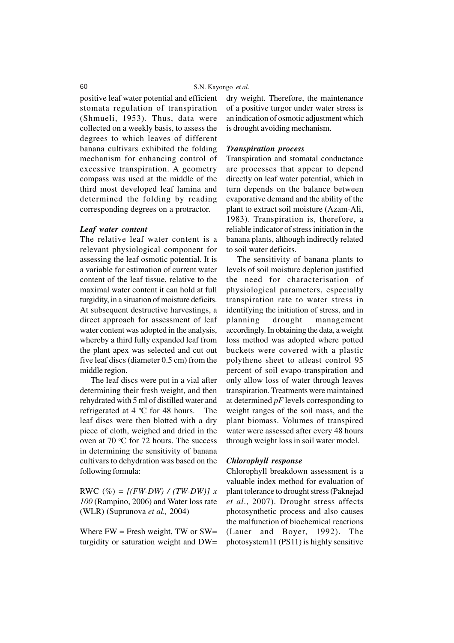positive leaf water potential and efficient stomata regulation of transpiration (Shmueli, 1953). Thus, data were collected on a weekly basis, to assess the degrees to which leaves of different banana cultivars exhibited the folding mechanism for enhancing control of excessive transpiration. A geometry compass was used at the middle of the third most developed leaf lamina and determined the folding by reading corresponding degrees on a protractor.

## *Leaf water content*

The relative leaf water content is a relevant physiological component for assessing the leaf osmotic potential. It is a variable for estimation of current water content of the leaf tissue, relative to the maximal water content it can hold at full turgidity, in a situation of moisture deficits. At subsequent destructive harvestings, a direct approach for assessment of leaf water content was adopted in the analysis, whereby a third fully expanded leaf from the plant apex was selected and cut out five leaf discs (diameter 0.5 cm) from the middle region.

The leaf discs were put in a vial after determining their fresh weight, and then rehydrated with 5 ml of distilled water and refrigerated at 4 °C for 48 hours. The leaf discs were then blotted with a dry piece of cloth, weighed and dried in the oven at  $70 \text{ °C}$  for  $72$  hours. The success in determining the sensitivity of banana cultivars to dehydration was based on the following formula:

RWC (%) = *[(FW-DW) / (TW-DW)] x 100* (Rampino, 2006) and Water loss rate (WLR) (Suprunova *et al.,* 2004)

Where  $FW =$  Fresh weight, TW or  $SW =$ turgidity or saturation weight and DW= dry weight. Therefore, the maintenance of a positive turgor under water stress is an indication of osmotic adjustment which is drought avoiding mechanism.

## *Transpiration process*

Transpiration and stomatal conductance are processes that appear to depend directly on leaf water potential, which in turn depends on the balance between evaporative demand and the ability of the plant to extract soil moisture (Azam-Ali, 1983). Transpiration is, therefore, a reliable indicator of stress initiation in the banana plants, although indirectly related to soil water deficits.

The sensitivity of banana plants to levels of soil moisture depletion justified the need for characterisation of physiological parameters, especially transpiration rate to water stress in identifying the initiation of stress, and in planning drought management accordingly. In obtaining the data, a weight loss method was adopted where potted buckets were covered with a plastic polythene sheet to atleast control 95 percent of soil evapo-transpiration and only allow loss of water through leaves transpiration. Treatments were maintained at determined *pF* levels corresponding to weight ranges of the soil mass, and the plant biomass. Volumes of transpired water were assessed after every 48 hours through weight loss in soil water model.

#### *Chlorophyll response*

Chlorophyll breakdown assessment is a valuable index method for evaluation of plant tolerance to drought stress (Paknejad *et al*., 2007). Drought stress affects photosynthetic process and also causes the malfunction of biochemical reactions (Lauer and Boyer, 1992). The photosystem11 (PS11) is highly sensitive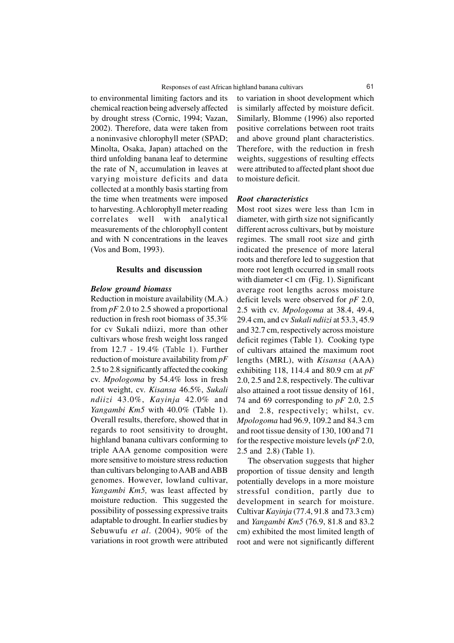to environmental limiting factors and its chemical reaction being adversely affected by drought stress (Cornic, 1994; Vazan, 2002). Therefore, data were taken from a noninvasive chlorophyll meter (SPAD; Minolta, Osaka, Japan) attached on the third unfolding banana leaf to determine the rate of  $N_2$  accumulation in leaves at varying moisture deficits and data collected at a monthly basis starting from the time when treatments were imposed to harvesting. A chlorophyll meter reading correlates well with analytical measurements of the chlorophyll content and with N concentrations in the leaves (Vos and Bom, 1993).

#### **Results and discussion**

#### *Below ground biomass*

Reduction in moisture availability (M.A.) from *pF* 2.0 to 2.5 showed a proportional reduction in fresh root biomass of 35.3% for cv Sukali ndiizi, more than other cultivars whose fresh weight loss ranged from 12.7 - 19.4% (Table 1). Further reduction of moisture availability from *pF* 2.5 to 2.8 significantly affected the cooking cv. *Mpologoma* by 54.4% loss in fresh root weight, cv. *Kisansa* 46.5%, *Sukali ndiizi* 43.0%, *Kayinja* 42.0% and *Yangambi Km5* with 40.0% (Table 1). Overall results, therefore, showed that in regards to root sensitivity to drought, highland banana cultivars conforming to triple AAA genome composition were more sensitive to moisture stress reduction than cultivars belonging to AAB and ABB genomes. However, lowland cultivar, *Yangambi Km5,* was least affected by moisture reduction. This suggested the possibility of possessing expressive traits adaptable to drought. In earlier studies by Sebuwufu *et al*. (2004), 90% of the variations in root growth were attributed to variation in shoot development which is similarly affected by moisture deficit. Similarly, Blomme (1996) also reported positive correlations between root traits and above ground plant characteristics. Therefore, with the reduction in fresh weights, suggestions of resulting effects were attributed to affected plant shoot due to moisture deficit.

#### *Root characteristics*

Most root sizes were less than 1cm in diameter, with girth size not significantly different across cultivars, but by moisture regimes. The small root size and girth indicated the presence of more lateral roots and therefore led to suggestion that more root length occurred in small roots with diameter <1 cm (Fig. 1). Significant average root lengths across moisture deficit levels were observed for *pF* 2.0, 2.5 with cv. *Mpologoma* at 38.4, 49.4, 29.4 cm, and cv *Sukali ndiizi* at 53.3, 45.9 and 32.7 cm, respectively across moisture deficit regimes (Table 1). Cooking type of cultivars attained the maximum root lengths (MRL), with *Kisansa* (AAA) exhibiting 118, 114.4 and 80.9 cm at *pF* 2.0, 2.5 and 2.8, respectively. The cultivar also attained a root tissue density of 161, 74 and 69 corresponding to *pF* 2.0, 2.5 and 2.8, respectively; whilst, cv. *Mpologoma* had 96.9, 109.2 and 84.3 cm and root tissue density of 130, 100 and 71 for the respective moisture levels (*pF* 2.0, 2.5 and 2.8) (Table 1).

The observation suggests that higher proportion of tissue density and length potentially develops in a more moisture stressful condition, partly due to development in search for moisture. Cultivar *Kayinja* (77.4, 91.8 and 73.3 cm) and *Yangambi Km5* (76.9, 81.8 and 83.2 cm) exhibited the most limited length of root and were not significantly different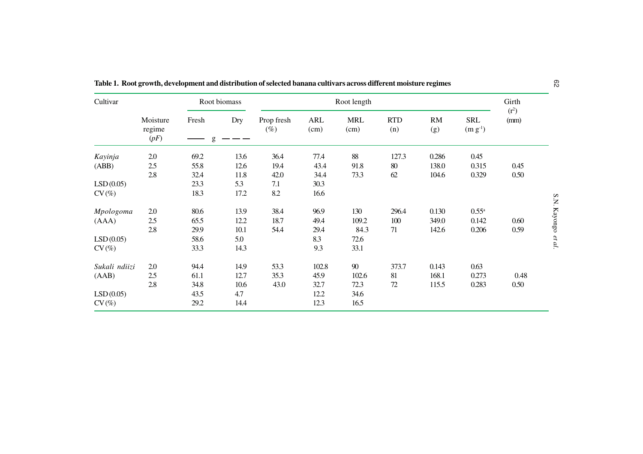| Cultivar      |                            |            | Root biomass |                      |             | Girth              |                   |                  |                            |                 |                     |
|---------------|----------------------------|------------|--------------|----------------------|-------------|--------------------|-------------------|------------------|----------------------------|-----------------|---------------------|
|               | Moisture<br>regime<br>(pF) | Fresh<br>g | Dry          | Prop fresh<br>$(\%)$ | ARL<br>(cm) | <b>MRL</b><br>(cm) | <b>RTD</b><br>(n) | <b>RM</b><br>(g) | <b>SRL</b><br>$(m g^{-1})$ | $(r^2)$<br>(mm) |                     |
| Kayinja       | 2.0                        | 69.2       | 13.6         | 36.4                 | 77.4        | 88                 | 127.3             | 0.286            | 0.45                       |                 |                     |
| (ABB)         | 2.5                        | 55.8       | 12.6         | 19.4                 | 43.4        | 91.8               | 80                | 138.0            | 0.315                      | 0.45            |                     |
|               | 2.8                        | 32.4       | 11.8         | 42.0                 | 34.4        | 73.3               | 62                | 104.6            | 0.329                      | 0.50            |                     |
| LSD(0.05)     |                            | 23.3       | 5.3          | 7.1                  | 30.3        |                    |                   |                  |                            |                 |                     |
| $CV(\%)$      |                            | 18.3       | 17.2         | 8.2                  | 16.6        |                    |                   |                  |                            |                 |                     |
| Mpologoma     | 2.0                        | 80.6       | 13.9         | 38.4                 | 96.9        | 130                | 296.4             | 0.130            | $0.55^{\mathrm{a}}$        |                 | S.N. Kayongo et al. |
| (AAA)         | 2.5                        | 65.5       | 12.2         | 18.7                 | 49.4        | 109.2              | 100               | 349.0            | 0.142                      | 0.60            |                     |
|               | 2.8                        | 29.9       | 10.1         | 54.4                 | 29.4        | 84.3               | 71                | 142.6            | 0.206                      | 0.59            |                     |
| LSD(0.05)     |                            | 58.6       | 5.0          |                      | 8.3         | 72.6               |                   |                  |                            |                 |                     |
| $CV(\%)$      |                            | 33.3       | 14.3         |                      | 9.3         | 33.1               |                   |                  |                            |                 |                     |
| Sukali ndiizi | 2.0                        | 94.4       | 14.9         | 53.3                 | 102.8       | 90                 | 373.7             | 0.143            | 0.63                       |                 |                     |
| (AB)          | 2.5                        | 61.1       | 12.7         | 35.3                 | 45.9        | 102.6              | 81                | 168.1            | 0.273                      | 0.48            |                     |
|               | 2.8                        | 34.8       | 10.6         | 43.0                 | 32.7        | 72.3               | 72                | 115.5            | 0.283                      | 0.50            |                     |
| LSD(0.05)     |                            | 43.5       | 4.7          |                      | 12.2        | 34.6               |                   |                  |                            |                 |                     |
| $CV(\%)$      |                            | 29.2       | 14.4         |                      | 12.3        | 16.5               |                   |                  |                            |                 |                     |

**Table 1. Root growth, development and distribution of selected banana cultivars across different moisture regimes**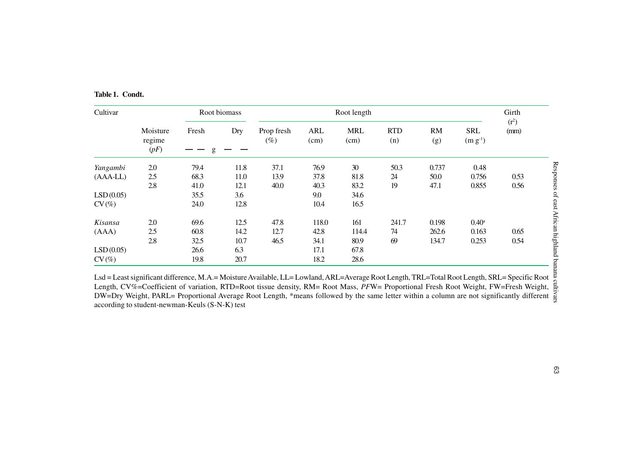| Cultivar | Root biomass               |       |     |                      | Girth              |                    |                   |                  |                            |                                                                                                                                                                                                                               |
|----------|----------------------------|-------|-----|----------------------|--------------------|--------------------|-------------------|------------------|----------------------------|-------------------------------------------------------------------------------------------------------------------------------------------------------------------------------------------------------------------------------|
|          | Moisture<br>regime<br>(pF) | Fresh | Dry | Prop fresh<br>$(\%)$ | <b>ARL</b><br>(cm) | <b>MRL</b><br>(cm) | <b>RTD</b><br>(n) | <b>RM</b><br>(g) | <b>SRL</b><br>$(m g^{-1})$ | $(r^2)$<br>(mm)                                                                                                                                                                                                               |
|          |                            | g     |     |                      |                    |                    |                   |                  |                            |                                                                                                                                                                                                                               |
|          |                            |       |     |                      |                    |                    |                   |                  |                            |                                                                                                                                                                                                                               |
|          |                            |       |     |                      |                    |                    |                   |                  |                            |                                                                                                                                                                                                                               |
|          |                            |       |     |                      |                    |                    |                   |                  |                            |                                                                                                                                                                                                                               |
|          |                            |       |     |                      |                    |                    |                   |                  |                            |                                                                                                                                                                                                                               |
|          |                            |       |     |                      |                    |                    |                   |                  |                            |                                                                                                                                                                                                                               |
|          |                            |       |     |                      |                    |                    |                   |                  |                            | For any amplit and the control of the control of the control of the control of the control of the control of the control of the control of the control of the control of the control of the control of the control of the con |
|          |                            |       |     |                      |                    |                    |                   |                  |                            |                                                                                                                                                                                                                               |
|          |                            |       |     |                      |                    |                    |                   |                  |                            |                                                                                                                                                                                                                               |
|          |                            |       |     |                      |                    |                    |                   |                  |                            |                                                                                                                                                                                                                               |
|          |                            |       |     |                      |                    |                    |                   |                  |                            |                                                                                                                                                                                                                               |

**Table 1. Condt.**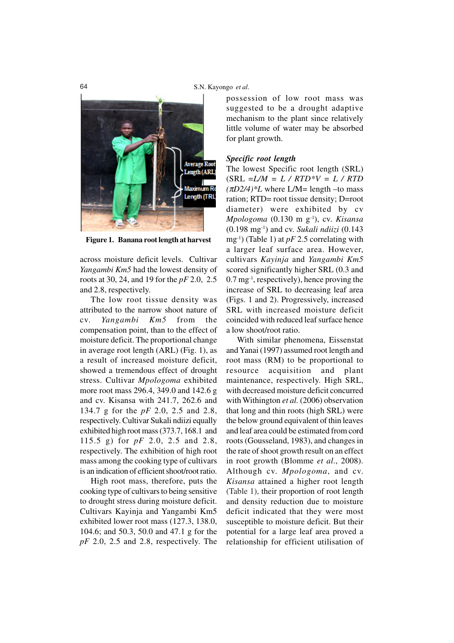64 S.N. Kayongo *et al*.



**Figure 1. Banana root length at harvest**

across moisture deficit levels. Cultivar *Yangambi Km5* had the lowest density of roots at 30, 24, and 19 for the *pF* 2.0, 2.5 and 2.8, respectively.

The low root tissue density was attributed to the narrow shoot nature of cv. *Yangambi Km5* from the compensation point, than to the effect of moisture deficit. The proportional change in average root length (ARL) (Fig. 1), as a result of increased moisture deficit, showed a tremendous effect of drought stress. Cultivar *Mpologoma* exhibited more root mass 296.4, 349.0 and 142.6 g and cv. Kisansa with 241.7, 262.6 and 134.7 g for the *pF* 2.0, 2.5 and 2.8, respectively. Cultivar Sukali ndiizi equally exhibited high root mass (373.7, 168.1 and 115.5 g) for *pF* 2.0, 2.5 and 2.8, respectively. The exhibition of high root mass among the cooking type of cultivars is an indication of efficient shoot/root ratio.

High root mass, therefore, puts the cooking type of cultivars to being sensitive to drought stress during moisture deficit. Cultivars Kayinja and Yangambi Km5 exhibited lower root mass (127.3, 138.0, 104.6; and 50.3, 50.0 and 47.1 g for the *pF* 2.0, 2.5 and 2.8, respectively. The possession of low root mass was suggested to be a drought adaptive mechanism to the plant since relatively little volume of water may be absorbed for plant growth.

#### *Specific root length*

The lowest Specific root length (SRL) (SRL =*L/M = L / RTD\*V = L / RTD*  $(\pi D2/4)^*L$  where L/M= length –to mass ration: RTD= root tissue density: D=root diameter) were exhibited by cv *Mpologoma* (0.130 m g-1), cv. *Kisansa* (0.198 mg-1) and cv. *Sukali ndiizi* (0.143 mg-1) (Table 1) at *pF* 2.5 correlating with a larger leaf surface area. However, cultivars *Kayinja* and *Yangambi Km5* scored significantly higher SRL (0.3 and  $0.7 \,\mathrm{mg}^{-1}$ , respectively), hence proving the increase of SRL to decreasing leaf area (Figs. 1 and 2). Progressively, increased SRL with increased moisture deficit coincided with reduced leaf surface hence a low shoot/root ratio.

With similar phenomena, Eissenstat and Yanai (1997) assumed root length and root mass (RM) to be proportional to resource acquisition and plant maintenance, respectively. High SRL, with decreased moisture deficit concurred with Withington *et al.* (2006) observation that long and thin roots (high SRL) were the below ground equivalent of thin leaves and leaf area could be estimated from cord roots (Gousseland, 1983), and changes in the rate of shoot growth result on an effect in root growth (Blomme *et al*., 2008). Although cv. *Mpologoma*, and cv. *Kisansa* attained a higher root length (Table 1), their proportion of root length and density reduction due to moisture deficit indicated that they were most susceptible to moisture deficit. But their potential for a large leaf area proved a relationship for efficient utilisation of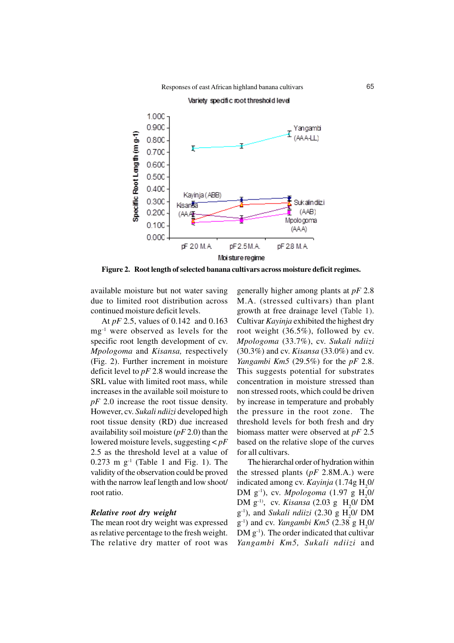Variety specific root threshold level



**Figure 2. Root length of selected banana cultivars across moisture deficit regimes.**

available moisture but not water saving due to limited root distribution across continued moisture deficit levels.

At *pF* 2.5, values of 0.142 and 0.163 mg-1 were observed as levels for the specific root length development of cv. *Mpologoma* and *Kisansa,* respectively (Fig. 2). Further increment in moisture deficit level to *pF* 2.8 would increase the SRL value with limited root mass, while increases in the available soil moisture to *pF* 2.0 increase the root tissue density. However, cv. *Sukali ndiizi* developed high root tissue density (RD) due increased availability soil moisture (*pF* 2.0) than the lowered moisture levels, suggesting < *pF* 2.5 as the threshold level at a value of  $0.273$  m g<sup>-1</sup> (Table 1 and Fig. 1). The validity of the observation could be proved with the narrow leaf length and low shoot/ root ratio.

## *Relative root dry weight*

The mean root dry weight was expressed as relative percentage to the fresh weight. The relative dry matter of root was generally higher among plants at *pF* 2.8 M.A. (stressed cultivars) than plant growth at free drainage level (Table 1). Cultivar *Kayinja* exhibited the highest dry root weight (36.5%), followed by cv. *Mpologoma* (33.7%), cv. *Sukali ndiizi* (30.3%) and cv. *Kisansa* (33.0%) and cv. *Yangambi Km5* (29.5%) for the *pF* 2.8. This suggests potential for substrates concentration in moisture stressed than non stressed roots, which could be driven by increase in temperature and probably the pressure in the root zone. The threshold levels for both fresh and dry biomass matter were observed at *pF* 2.5 based on the relative slope of the curves for all cultivars.

The hierarchal order of hydration within the stressed plants (*pF* 2.8M.A.) were indicated among cv. *Kayinja* (1.74g  $H_2$ 0/ DM g<sup>-1</sup>), cv. *Mpologoma* (1.97 g H<sub>2</sub>0/ DM  $g^{-1}$ , cv. *Kisansa* (2.03 g H<sub>2</sub>0/ DM  $g^{-1}$ ), and *Sukali ndiizi* (2.30 g H<sub>2</sub>0/ DM  $g^{-1}$ ) and cv. *Yangambi Km5* (2.38 g H<sub>2</sub>0/  $DM g^{-1}$ ). The order indicated that cultivar *Yangambi Km5, Sukali ndiizi* and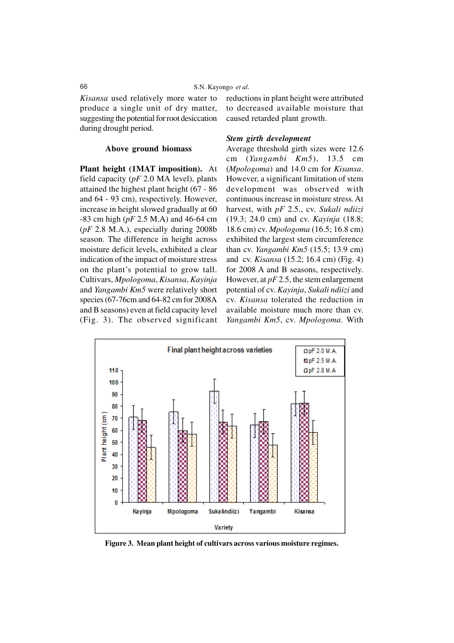*Kisansa* used relatively more water to produce a single unit of dry matter, suggesting the potential for root desiccation during drought period.

#### **Above ground biomass**

**Plant height (1MAT imposition).** At field capacity (*pF* 2.0 MA level), plants attained the highest plant height (67 - 86 and 64 - 93 cm), respectively. However, increase in height slowed gradually at 60 -83 cm high (*pF* 2.5 M.A) and 46-64 cm (*pF* 2.8 M.A.), especially during 2008b season. The difference in height across moisture deficit levels, exhibited a clear indication of the impact of moisture stress on the plant's potential to grow tall. Cultivars, *Mpologoma*, *Kisansa*, *Kayinja* and *Yangambi Km5* were relatively short species (67-76cm and 64-82 cm for 2008A and B seasons) even at field capacity level (Fig. 3). The observed significant

reductions in plant height were attributed to decreased available moisture that caused retarded plant growth.

## *Stem girth development*

Average threshold girth sizes were 12.6 cm (*Yangambi Km5*), 13.5 cm (*Mpologoma*) and 14.0 cm for *Kisansa*. However, a significant limitation of stem development was observed with continuous increase in moisture stress. At harvest, with *pF* 2.5., cv. *Sukali ndiizi* (19.3; 24.0 cm) and cv. *Kayinja* (18.8; 18.6 cm) cv. *Mpologoma* (16.5; 16.8 cm) exhibited the largest stem circumference than cv. *Yangambi Km5* (15.5; 13.9 cm) and cv. *Kisansa* (15.2; 16.4 cm) (Fig. 4) for 2008 A and B seasons, respectively. However, at *pF* 2.5, the stem enlargement potential of cv. *Kayinja*, *Sukali ndiizi* and cv. *Kisansa* tolerated the reduction in available moisture much more than cv. *Yangambi Km5*, cv. *Mpologoma*. With



**Figure 3. Mean plant height of cultivars across various moisture regimes.**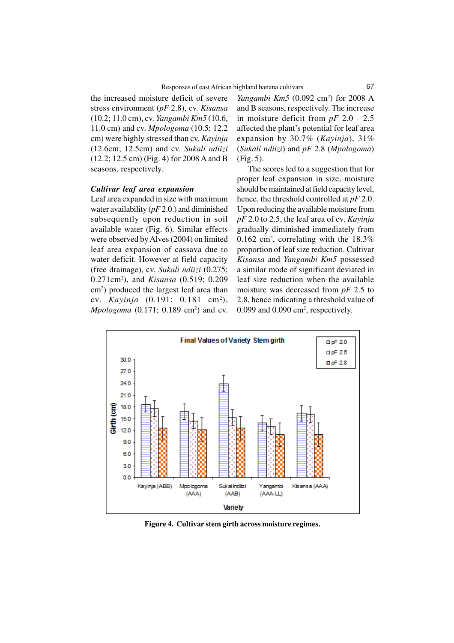the increased moisture deficit of severe stress environment (*pF* 2.8), cv. *Kisansa* (10.2; 11.0 cm), cv. *Yangambi Km5* (10.6, 11.0 cm) and cv. *Mpologoma* (10.5; 12.2 cm) were highly stressed than cv. *Kayinja* (12.6cm; 12.5cm) and cv. *Sukali ndiizi* (12.2; 12.5 cm) (Fig. 4) for 2008 A and B seasons, respectively.

#### *Cultivar leaf area expansion*

Leaf area expanded in size with maximum water availability (*pF* 2.0.) and diminished subsequently upon reduction in soil available water (Fig. 6). Similar effects were observed by Alves (2004) on limited leaf area expansion of cassava due to water deficit. However at field capacity (free drainage), cv. *Sukali ndiizi* (0.275; 0.271cm<sup>2</sup> ), and *Kisansa* (0.519; 0.209 cm<sup>2</sup> ) produced the largest leaf area than cv. *Kayinja* (0.191; 0.181 cm<sup>2</sup> ), *Mpologoma* (0.171; 0.189 cm<sup>2</sup>) and cv.

*Yangambi Km5* (0.092 cm<sup>2</sup>) for 2008 A and B seasons, respectively. The increase in moisture deficit from *pF* 2.0 - 2.5 affected the plant's potential for leaf area expansion by 30.7% (*Kayinja*), 31% (*Sukali ndiizi*) and *pF* 2.8 (*Mpologoma*) (Fig. 5).

The scores led to a suggestion that for proper leaf expansion in size, moisture should be maintained at field capacity level, hence, the threshold controlled at *pF* 2.0. Upon reducing the available moisture from *pF* 2.0 to 2.5, the leaf area of cv. *Kayinja* gradually diminished immediately from 0.162 cm<sup>2</sup>, correlating with the  $18.3\%$ proportion of leaf size reduction. Cultivar *Kisansa* and *Yangambi Km5* possessed a similar mode of significant deviated in leaf size reduction when the available moisture was decreased from *pF* 2.5 to 2.8, hence indicating a threshold value of 0.099 and  $0.090 \text{ cm}^2$ , respectively.



**Figure 4. Cultivar stem girth across moisture regimes.**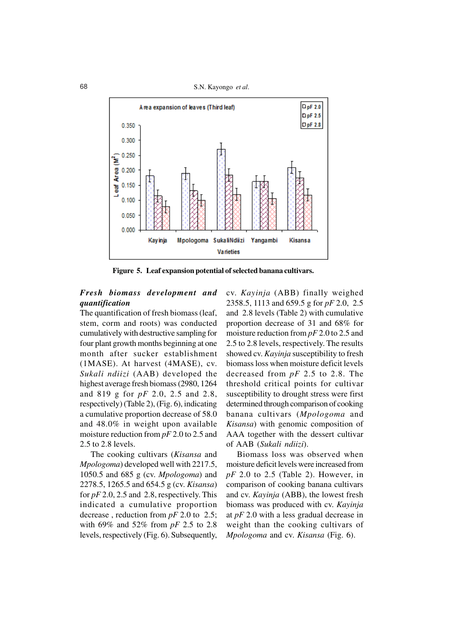68 S.N. Kayongo *et al*.



**Figure 5. Leaf expansion potential of selected banana cultivars.**

## *Fresh biomass development and quantification*

The quantification of fresh biomass (leaf, stem, corm and roots) was conducted cumulatively with destructive sampling for four plant growth months beginning at one month after sucker establishment (1MASE). At harvest (4MASE), cv. *Sukali ndiizi* (AAB) developed the highest average fresh biomass (2980, 1264 and 819 g for *pF* 2.0, 2.5 and 2.8, respectively) (Table 2), (Fig. 6), indicating a cumulative proportion decrease of 58.0 and 48.0% in weight upon available moisture reduction from *pF* 2.0 to 2.5 and 2.5 to 2.8 levels.

The cooking cultivars (*Kisansa* and *Mpologoma*) developed well with 2217.5, 1050.5 and 685 g (cv. *Mpologoma*) and 2278.5, 1265.5 and 654.5 g (cv. *Kisansa*) for *pF* 2.0, 2.5 and 2.8, respectively. This indicated a cumulative proportion decrease , reduction from *pF* 2.0 to 2.5; with 69% and 52% from *pF* 2.5 to 2.8 levels, respectively (Fig. 6). Subsequently, cv. *Kayinja* (ABB) finally weighed 2358.5, 1113 and 659.5 g for *pF* 2.0, 2.5 and 2.8 levels (Table 2) with cumulative proportion decrease of 31 and 68% for moisture reduction from *pF* 2.0 to 2.5 and 2.5 to 2.8 levels, respectively. The results showed cv. *Kayinja* susceptibility to fresh biomass loss when moisture deficit levels decreased from *pF* 2.5 to 2.8. The threshold critical points for cultivar susceptibility to drought stress were first determined through comparison of cooking banana cultivars (*Mpologoma* and *Kisansa*) with genomic composition of AAA together with the dessert cultivar of AAB (*Sukali ndiizi*).

Biomass loss was observed when moisture deficit levels were increased from *pF* 2.0 to 2.5 (Table 2). However, in comparison of cooking banana cultivars and cv. *Kayinja* (ABB), the lowest fresh biomass was produced with cv. *Kayinja* at *pF* 2.0 with a less gradual decrease in weight than the cooking cultivars of *Mpologoma* and cv. *Kisansa* (Fig. 6).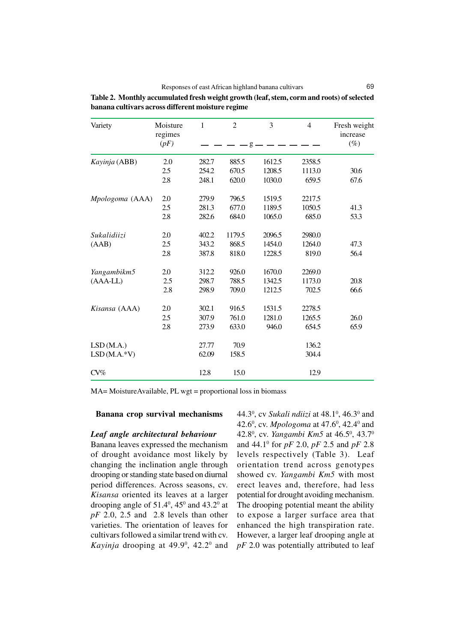Responses of east African highland banana cultivars 69

| Variety         | Moisture<br>regimes | 1     | $\overline{2}$ | 3      | $\overline{4}$ | Fresh weight<br>increase |  |
|-----------------|---------------------|-------|----------------|--------|----------------|--------------------------|--|
|                 | (pF)                |       | $-$ g $-$      |        | $(\%)$         |                          |  |
| Kayinja (ABB)   | 2.0                 | 282.7 | 885.5          | 1612.5 | 2358.5         |                          |  |
|                 | 2.5                 | 254.2 | 670.5          | 1208.5 | 1113.0         | 30.6                     |  |
|                 | 2.8                 | 248.1 | 620.0          | 1030.0 | 659.5          | 67.6                     |  |
| Mpologoma (AAA) | 2.0                 | 279.9 | 796.5          | 1519.5 | 2217.5         |                          |  |
|                 | 2.5                 | 281.3 | 677.0          | 1189.5 | 1050.5         | 41.3                     |  |
|                 | 2.8                 | 282.6 | 684.0          | 1065.0 | 685.0          | 53.3                     |  |
| Sukalidiizi     | 2.0                 | 402.2 | 1179.5         | 2096.5 | 2980.0         |                          |  |
| (AAB)           | 2.5                 | 343.2 | 868.5          | 1454.0 | 1264.0         | 47.3                     |  |
|                 | 2.8                 | 387.8 | 818.0          | 1228.5 | 819.0          | 56.4                     |  |
| Yangambikm5     | 2.0                 | 312.2 | 926.0          | 1670.0 | 2269.0         |                          |  |
| $(AAA-LL)$      | 2.5                 | 298.7 | 788.5          | 1342.5 | 1173.0         | 20.8                     |  |
|                 | 2.8                 | 298.9 | 709.0          | 1212.5 | 702.5          | 66.6                     |  |
| Kisansa (AAA)   | 2.0                 | 302.1 | 916.5          | 1531.5 | 2278.5         |                          |  |
|                 | 2.5                 | 307.9 | 761.0          | 1281.0 | 1265.5         | 26.0                     |  |
|                 | 2.8                 | 273.9 | 633.0          | 946.0  | 654.5          | 65.9                     |  |
| LSD(M.A.)       |                     | 27.77 | 70.9           |        | 136.2          |                          |  |
| $LSD(M.A.*V)$   |                     | 62.09 | 158.5          |        | 304.4          |                          |  |
| CV%             |                     | 12.8  | 15.0           |        | 12.9           |                          |  |

**Table 2. Monthly accumulated fresh weight growth (leaf, stem, corm and roots) of selected banana cultivars across different moisture regime**

MA= MoistureAvailable, PL wgt = proportional loss in biomass

## **Banana crop survival mechanisms**

## *Leaf angle architectural behaviour*

Banana leaves expressed the mechanism of drought avoidance most likely by changing the inclination angle through drooping or standing state based on diurnal period differences. Across seasons, cv. *Kisansa* oriented its leaves at a larger drooping angle of  $51.4^{\circ}$ ,  $45^{\circ}$  and  $43.2^{\circ}$  at *pF* 2.0, 2.5 and 2.8 levels than other varieties. The orientation of leaves for cultivars followed a similar trend with cv. Kayinja drooping at 49.9<sup>0</sup>, 42.2<sup>0</sup> and

44.3<sup>0</sup>, cv *Sukali ndiizi* at 48.1<sup>0</sup>, 46.3<sup>0</sup> and 42.6<sup>0</sup>, cv. *Mpologoma* at 47.6<sup>0</sup>, 42.4<sup>0</sup> and 42.8<sup>0</sup>, cv. *Yangambi Km5* at 46.5<sup>0</sup>, 43.7<sup>0</sup> and 44.1<sup>0</sup> for *pF* 2.0, *pF* 2.5 and *pF* 2.8 levels respectively (Table 3). Leaf orientation trend across genotypes showed cv. *Yangambi Km5* with most erect leaves and, therefore, had less potential for drought avoiding mechanism. The drooping potential meant the ability to expose a larger surface area that enhanced the high transpiration rate. However, a larger leaf drooping angle at *pF* 2.0 was potentially attributed to leaf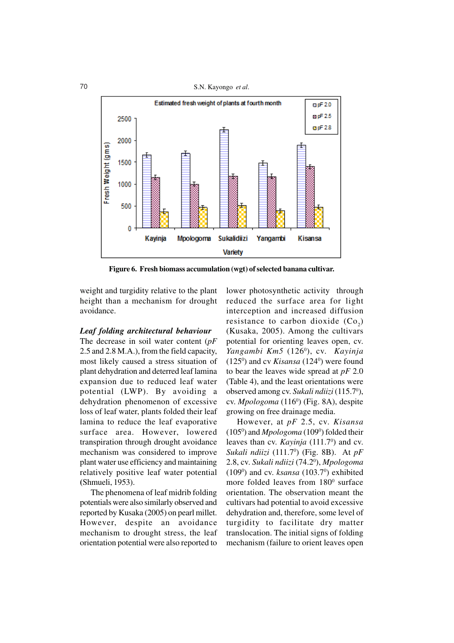70 S.N. Kayongo *et al*.



**Figure 6. Fresh biomass accumulation (wgt) of selected banana cultivar.**

weight and turgidity relative to the plant height than a mechanism for drought avoidance.

## *Leaf folding architectural behaviour*

The decrease in soil water content (*pF* 2.5 and 2.8 M.A.), from the field capacity, most likely caused a stress situation of plant dehydration and deterred leaf lamina expansion due to reduced leaf water potential (LWP). By avoiding a dehydration phenomenon of excessive loss of leaf water, plants folded their leaf lamina to reduce the leaf evaporative surface area. However, lowered transpiration through drought avoidance mechanism was considered to improve plant water use efficiency and maintaining relatively positive leaf water potential **(**Shmueli, 1953).

The phenomena of leaf midrib folding potentials were also similarly observed and reported by Kusaka (2005) on pearl millet. However, despite an avoidance mechanism to drought stress, the leaf orientation potential were also reported to lower photosynthetic activity through reduced the surface area for light interception and increased diffusion resistance to carbon dioxide  $(Co_2)$ (Kusaka, 2005). Among the cultivars potential for orienting leaves open, cv. *Yangambi Km5* (126<sup>0</sup> ), cv. *Kayinja*  $(125<sup>0</sup>)$  and cv *Kisansa*  $(124<sup>0</sup>)$  were found to bear the leaves wide spread at *pF* 2.0 (Table 4), and the least orientations were observed among cv. *Sukali ndiizi* (115.7<sup>0</sup> ), cv. *Mpologoma* (116<sup>0</sup>) (Fig. 8A), despite growing on free drainage media.

However, at *pF* 2.5, cv. *Kisansa* (105<sup>0</sup>) and *Mpologoma* (109<sup>0</sup>) folded their leaves than cv.  $Kayinja$   $(111.7<sup>0</sup>)$  and cv. *Sukali ndiizi* (111.7<sup>0</sup> ) (Fig. 8B). At *pF* 2.8, cv. *Sukali ndiizi* (74.2<sup>0</sup> ), *Mpologoma*  $(109<sup>0</sup>)$  and cv. *ksansa*  $(103.7<sup>0</sup>)$  exhibited more folded leaves from 180<sup>0</sup> surface orientation. The observation meant the cultivars had potential to avoid excessive dehydration and, therefore, some level of turgidity to facilitate dry matter translocation. The initial signs of folding mechanism (failure to orient leaves open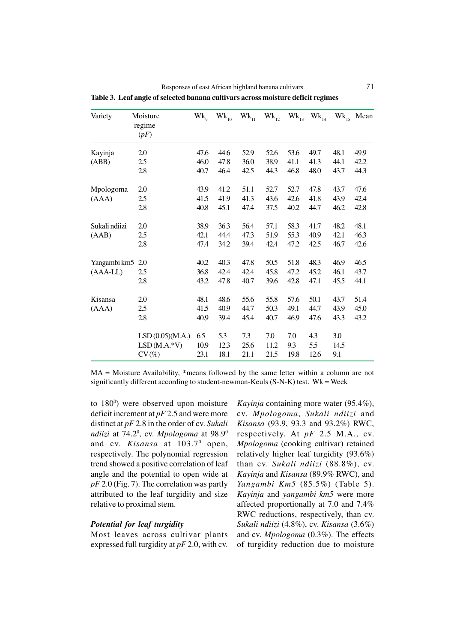Responses of east African highland banana cultivars 71

**Table 3. Leaf angle of selected banana cultivars across moisture deficit regimes**

| Variety       | Moisture        | $\operatorname{Wk}_9$ | $\mathbf{W}\mathbf{k}_{_{10}}$ | $\mathbf{W}\mathbf{k}_{_{11}}$ | $\mathbf{Wk}_{12}$ | $\text{Wk}_{13}$ | $\mathbf{W}\mathbf{k}_{_{14}}$ |      | $\text{Wk}_{15}$ Mean |
|---------------|-----------------|-----------------------|--------------------------------|--------------------------------|--------------------|------------------|--------------------------------|------|-----------------------|
|               | regime<br>(pF)  |                       |                                |                                |                    |                  |                                |      |                       |
| Kayinja       | 2.0             | 47.6                  | 44.6                           | 52.9                           | 52.6               | 53.6             | 49.7                           | 48.1 | 49.9                  |
| (ABB)         | 2.5             | 46.0                  | 47.8                           | 36.0                           | 38.9               | 41.1             | 41.3                           | 44.1 | 42.2                  |
|               | 2.8             | 40.7                  | 46.4                           | 42.5                           | 44.3               | 46.8             | 48.0                           | 43.7 | 44.3                  |
| Mpologoma     | 2.0             | 43.9                  | 41.2                           | 51.1                           | 52.7               | 52.7             | 47.8                           | 43.7 | 47.6                  |
| (AAA)         | 2.5             | 41.5                  | 41.9                           | 41.3                           | 43.6               | 42.6             | 41.8                           | 43.9 | 42.4                  |
|               | 2.8             | 40.8                  | 45.1                           | 47.4                           | 37.5               | 40.2             | 44.7                           | 46.2 | 42.8                  |
| Sukali ndiizi | 2.0             | 38.9                  | 36.3                           | 56.4                           | 57.1               | 58.3             | 41.7                           | 48.2 | 48.1                  |
| (AAB)         | 2.5             | 42.1                  | 44.4                           | 47.3                           | 51.9               | 55.3             | 40.9                           | 42.1 | 46.3                  |
|               | 2.8             | 47.4                  | 34.2                           | 39.4                           | 42.4               | 47.2             | 42.5                           | 46.7 | 42.6                  |
| Yangambi km5  | 2.0             | 40.2                  | 40.3                           | 47.8                           | 50.5               | 51.8             | 48.3                           | 46.9 | 46.5                  |
| $(AAA-LL)$    | 2.5             | 36.8                  | 42.4                           | 42.4                           | 45.8               | 47.2             | 45.2                           | 46.1 | 43.7                  |
|               | 2.8             | 43.2                  | 47.8                           | 40.7                           | 39.6               | 42.8             | 47.1                           | 45.5 | 44.1                  |
| Kisansa       | 2.0             | 48.1                  | 48.6                           | 55.6                           | 55.8               | 57.6             | 50.1                           | 43.7 | 51.4                  |
| (AAA)         | 2.5             | 41.5                  | 40.9                           | 44.7                           | 50.3               | 49.1             | 44.7                           | 43.9 | 45.0                  |
|               | 2.8             | 40.9                  | 39.4                           | 45.4                           | 40.7               | 46.9             | 47.6                           | 43.3 | 43.2                  |
|               | LSD(0.05)(M.A.) | 6.5                   | 5.3                            | 7.3                            | 7.0                | 7.0              | 4.3                            | 3.0  |                       |
|               | $LSD(M.A.*V)$   | 10.9                  | 12.3                           | 25.6                           | 11.2               | 9.3              | 5.5                            | 14.5 |                       |
|               | $CV(\%)$        | 23.1                  | 18.1                           | 21.1                           | 21.5               | 19.8             | 12.6                           | 9.1  |                       |

MA = Moisture Availability, \*means followed by the same letter within a column are not significantly different according to student-newman-Keuls (S-N-K) test. Wk = Week

to 180<sup>0</sup>) were observed upon moisture deficit increment at *pF* 2.5 and were more distinct at *pF* 2.8 in the order of cv. *Sukali ndiizi* at 74.2<sup>0</sup> , cv. *Mpologoma* at 98.9<sup>0</sup> and cv. *Kisansa* at 103.7<sup>0</sup> open, respectively. The polynomial regression trend showed a positive correlation of leaf angle and the potential to open wide at *pF* 2.0 (Fig. 7). The correlation was partly attributed to the leaf turgidity and size relative to proximal stem.

## *Potential for leaf turgidity*

Most leaves across cultivar plants expressed full turgidity at *pF* 2.0, with cv.

*Kayinja* containing more water (95.4%), cv. *Mpologoma*, *Sukali ndiizi* and *Kisansa* (93.9, 93.3 and 93.2%) RWC, respectively. At *pF* 2.5 M.A., cv. *Mpologoma* (cooking cultivar) retained relatively higher leaf turgidity (93.6%) than cv. *Sukali ndiizi* (88.8%), cv. *Kayinja* and *Kisansa* (89.9% RWC), and *Yangambi Km5* (85.5%) (Table 5). *Kayinja* and *yangambi km5* were more affected proportionally at 7.0 and 7.4% RWC reductions, respectively, than cv. *Sukali ndiizi* (4.8%), cv. *Kisansa* (3.6%) and cv. *Mpologoma* (0.3%). The effects of turgidity reduction due to moisture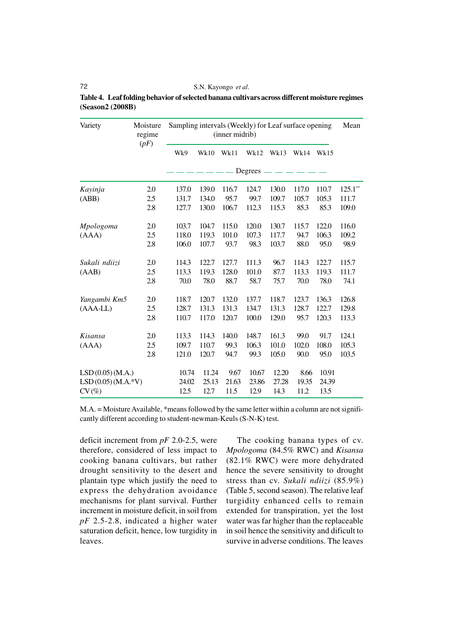72 S.N. Kayongo *et al*.

| Variety              | Moisture<br>regime<br>(pF) | Sampling intervals (Weekly) for Leaf surface opening<br>(inner midrib) |             |       |       |                                  |       |             |            |
|----------------------|----------------------------|------------------------------------------------------------------------|-------------|-------|-------|----------------------------------|-------|-------------|------------|
|                      |                            | Wk9                                                                    | <b>Wk10</b> | Wk11  | Wk12  | Wk13                             | Wk14  | <b>Wk15</b> |            |
|                      |                            |                                                                        |             |       |       | Degrees $\_\_\_\_\_\_\_\_\_\_\_$ |       |             |            |
| Kayinja              | 2.0                        | 137.0                                                                  | 139.0       | 116.7 | 124.7 | 130.0                            | 117.0 | 110.7       | $125.1***$ |
| (ABB)                | 2.5                        | 131.7                                                                  | 134.0       | 95.7  | 99.7  | 109.7                            | 105.7 | 105.3       | 111.7      |
|                      | 2.8                        | 127.7                                                                  | 130.0       | 106.7 | 112.3 | 115.3                            | 85.3  | 85.3        | 109.0      |
| Mpologoma            | 2.0                        | 103.7                                                                  | 104.7       | 115.0 | 120.0 | 130.7                            | 115.7 | 122.0       | 116.0      |
| (AAA)                | 2.5                        | 118.0                                                                  | 119.3       | 101.0 | 107.3 | 117.7                            | 94.7  | 106.3       | 109.2      |
|                      | 2.8                        | 106.0                                                                  | 107.7       | 93.7  | 98.3  | 103.7                            | 88.0  | 95.0        | 98.9       |
| Sukali ndiizi        | 2.0                        | 114.3                                                                  | 122.7       | 127.7 | 111.3 | 96.7                             | 114.3 | 122.7       | 115.7      |
| (AAB)                | $2.5\,$                    | 113.3                                                                  | 119.3       | 128.0 | 101.0 | 87.7                             | 113.3 | 119.3       | 111.7      |
|                      | 2.8                        | 70.0                                                                   | 78.0        | 88.7  | 58.7  | 75.7                             | 70.0  | 78.0        | 74.1       |
| Yangambi Km5         | 2.0                        | 118.7                                                                  | 120.7       | 132.0 | 137.7 | 118.7                            | 123.7 | 136.3       | 126.8      |
| $(AAA-LL)$           | 2.5                        | 128.7                                                                  | 131.3       | 131.3 | 134.7 | 131.3                            | 128.7 | 122.7       | 129.8      |
|                      | 2.8                        | 110.7                                                                  | 117.0       | 120.7 | 100.0 | 129.0                            | 95.7  | 120.3       | 113.3      |
| Kisansa              | 2.0                        | 113.3                                                                  | 114.3       | 140.0 | 148.7 | 161.3                            | 99.0  | 91.7        | 124.1      |
| (AAA)                | 2.5                        | 109.7                                                                  | 110.7       | 99.3  | 106.3 | 101.0                            | 102.0 | 108.0       | 105.3      |
|                      | 2.8                        | 121.0                                                                  | 120.7       | 94.7  | 99.3  | 105.0                            | 90.0  | 95.0        | 103.5      |
| LSD(0.05) (M.A.)     |                            | 10.74                                                                  | 11.24       | 9.67  | 10.67 | 12.20                            | 8.66  | 10.91       |            |
| $LSD(0.05) (M.A.*V)$ |                            | 24.02                                                                  | 25.13       | 21.63 | 23.86 | 27.28                            | 19.35 | 24.39       |            |
| $CV(\%)$             |                            | 12.5                                                                   | 12.7        | 11.5  | 12.9  | 14.3                             | 11.2  | 13.5        |            |

**Table 4. Leaf folding behavior of selected banana cultivars across different moisture regimes (Season2 (2008B)**

M.A. = Moisture Available, \*means followed by the same letter within a column are not significantly different according to student-newman-Keuls (S-N-K) test.

deficit increment from *pF* 2.0-2.5, were therefore, considered of less impact to cooking banana cultivars, but rather drought sensitivity to the desert and plantain type which justify the need to express the dehydration avoidance mechanisms for plant survival. Further increment in moisture deficit, in soil from *pF* 2.5-2.8, indicated a higher water saturation deficit, hence, low turgidity in leaves.

The cooking banana types of cv. *Mpologoma* (84.5% RWC) and *Kisansa* (82.1% RWC) were more dehydrated hence the severe sensitivity to drought stress than cv. *Sukali ndiizi* (85.9%) (Table 5, second season). The relative leaf turgidity enhanced cells to remain extended for transpiration, yet the lost water was far higher than the replaceable in soil hence the sensitivity and dificult to survive in adverse conditions. The leaves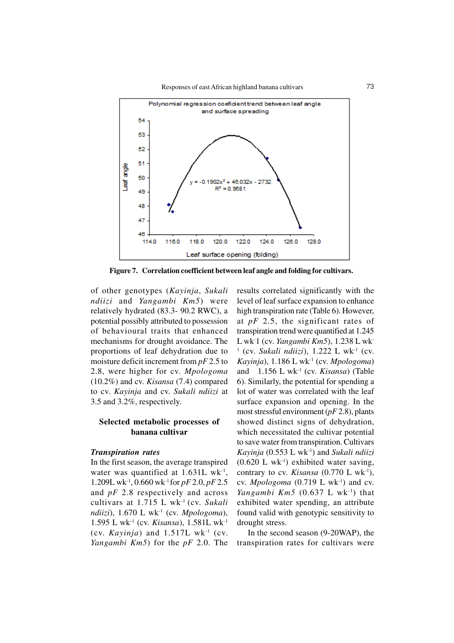

**Figure 7. Correlation coefficient between leaf angle and folding for cultivars.**

of other genotypes (*Kayinja*, *Sukali ndiizi* and *Yangambi Km5*) were relatively hydrated (83.3- 90.2 RWC), a potential possibly attributed to possession of behavioural traits that enhanced mechanisms for drought avoidance. The proportions of leaf dehydration due to moisture deficit increment from *pF* 2.5 to 2.8, were higher for cv. *Mpologoma* (10.2%) and cv. *Kisansa* (7.4) compared to cv. *Kayinja* and cv. *Sukali ndiizi* at 3.5 and 3.2%, respectively.

## **Selected metabolic processes of banana cultivar**

#### *Transpiration rates*

In the first season, the average transpired water was quantified at  $1.631L$  wk<sup>-1</sup>, 1.209L wk-1, 0.660 wk-1 for *pF* 2.0, *pF* 2.5 and *pF* 2.8 respectively and across cultivars at 1.715 L wk-1 (cv. *Sukali ndiizi*), 1.670 L wk-1 (cv. *Mpologoma*), 1.595 L wk-1 (cv. *Kisansa*), 1.581L wk-1 (cv.  $Kayinja$ ) and  $1.517L$  wk<sup>-1</sup> (cv. *Yangambi Km5*) for the *pF* 2.0. The results correlated significantly with the level of leaf surface expansion to enhance high transpiration rate (Table 6). However, at *pF* 2.5, the significant rates of transpiration trend were quantified at 1.245 L wk-1 (cv. *Yangambi Km5*), 1.238 L wk-1 (cv. *Sukali ndiizi*), 1.222 L wk-1 (cv. *Kayinja*), 1.186 L wk-1 (cv. *Mpologoma*) and 1.156 L wk-1 (cv. *Kisansa*) (Table 6). Similarly, the potential for spending a lot of water was correlated with the leaf surface expansion and opening. In the most stressful environment (*pF* 2.8), plants showed distinct signs of dehydration, which necessitated the cultivar potential to save water from transpiration. Cultivars *Kayinja* (0.553 L wk-1) and *Sukali ndiizi*  $(0.620 \text{ L} \text{ w} \text{k}^{-1})$  exhibited water saving, contrary to cv. *Kisansa* (0.770 L wk<sup>-1</sup>), cv. *Mpologoma*  $(0.719 \text{ L} \text{ w} \text{k}^{-1})$  and cv. *Yangambi Km5*  $(0.637 \text{ L} \text{ w} \text{k}^{-1})$  that exhibited water spending, an attribute found valid with genotypic sensitivity to drought stress.

In the second season (9-20WAP), the transpiration rates for cultivars were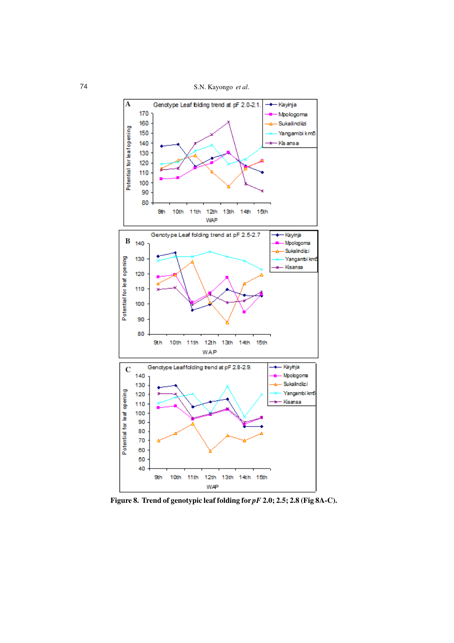74 S.N. Kayongo *et al*.



 **Figure 8. Trend of genotypic leaf folding for** *pF* **2.0; 2.5; 2.8 (Fig 8A-C).**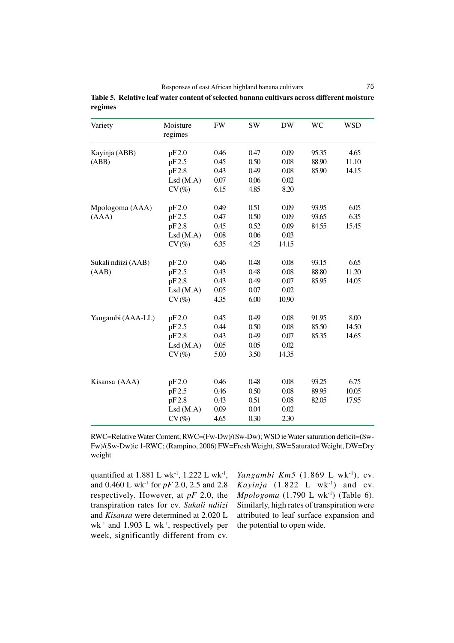Responses of east African highland banana cultivars 75

**Table 5. Relative leaf water content of selected banana cultivars across different moisture regimes**

| Variety             | Moisture<br>regimes | <b>FW</b> | <b>SW</b> | <b>DW</b> | <b>WC</b> | <b>WSD</b> |
|---------------------|---------------------|-----------|-----------|-----------|-----------|------------|
| Kayinja (ABB)       | pF2.0               | 0.46      | 0.47      | 0.09      | 95.35     | 4.65       |
| (ABB)               | pF 2.5              | 0.45      | 0.50      | 0.08      | 88.90     | 11.10      |
|                     | pF2.8               | 0.43      | 0.49      | 0.08      | 85.90     | 14.15      |
|                     | LSd(M.A)            | 0.07      | 0.06      | 0.02      |           |            |
|                     | $CV(\%)$            | 6.15      | 4.85      | 8.20      |           |            |
| Mpologoma (AAA)     | pF2.0               | 0.49      | 0.51      | 0.09      | 93.95     | 6.05       |
| (AAA)               | pF 2.5              | 0.47      | 0.50      | 0.09      | 93.65     | 6.35       |
|                     | pF 2.8              | 0.45      | 0.52      | 0.09      | 84.55     | 15.45      |
|                     | LSd(M.A)            | 0.08      | 0.06      | 0.03      |           |            |
|                     | $CV(\%)$            | 6.35      | 4.25      | 14.15     |           |            |
| Sukali ndiizi (AAB) | pF2.0               | 0.46      | 0.48      | 0.08      | 93.15     | 6.65       |
| (AAB)               | pF 2.5              | 0.43      | 0.48      | 0.08      | 88.80     | 11.20      |
|                     | pF 2.8              | 0.43      | 0.49      | 0.07      | 85.95     | 14.05      |
|                     | Lsd(M.A)            | 0.05      | 0.07      | 0.02      |           |            |
|                     | $CV(\%)$            | 4.35      | 6.00      | 10.90     |           |            |
| Yangambi (AAA-LL)   | pF2.0               | 0.45      | 0.49      | 0.08      | 91.95     | 8.00       |
|                     | pF 2.5              | 0.44      | 0.50      | 0.08      | 85.50     | 14.50      |
|                     | pF 2.8              | 0.43      | 0.49      | 0.07      | 85.35     | 14.65      |
|                     | Lsd(M.A)            | 0.05      | 0.05      | 0.02      |           |            |
|                     | $CV(\%)$            | 5.00      | 3.50      | 14.35     |           |            |
|                     |                     |           |           |           |           |            |
| Kisansa (AAA)       | pF2.0               | 0.46      | 0.48      | 0.08      | 93.25     | 6.75       |
|                     | pF 2.5              | 0.46      | 0.50      | 0.08      | 89.95     | 10.05      |
|                     | pF 2.8              | 0.43      | 0.51      | 0.08      | 82.05     | 17.95      |
|                     | Lsd(M.A)            | 0.09      | 0.04      | 0.02      |           |            |
|                     | $CV(\%)$            | 4.65      | 0.30      | 2.30      |           |            |

RWC=Relative Water Content, RWC=(Fw-Dw)/(Sw-Dw); WSD ie Water saturation deficit=(Sw-Fw)/(Sw-Dw)ie 1-RWC; (Rampino, 2006) FW=Fresh Weight, SW=Saturated Weight, DW=Dry weight

quantified at  $1.881 \text{ L w} \text{k}^{-1}$ ,  $1.222 \text{ L w} \text{k}^{-1}$ , and 0.460 L wk-1 for *pF* 2.0, 2.5 and 2.8 respectively. However, at *pF* 2.0, the transpiration rates for cv. *Sukali ndiizi* and *Kisansa* were determined at 2.020 L  $wk^{-1}$  and 1.903 L wk<sup>-1</sup>, respectively per week, significantly different from cv.

*Yangambi Km5* (1.869 L wk<sup>-1</sup>), cv. *Kayinja*  $(1.822 \text{ L} \text{ wk}^{-1})$  and cv. *Mpologoma* (1.790 L wk<sup>-1</sup>) (Table 6). Similarly, high rates of transpiration were attributed to leaf surface expansion and the potential to open wide.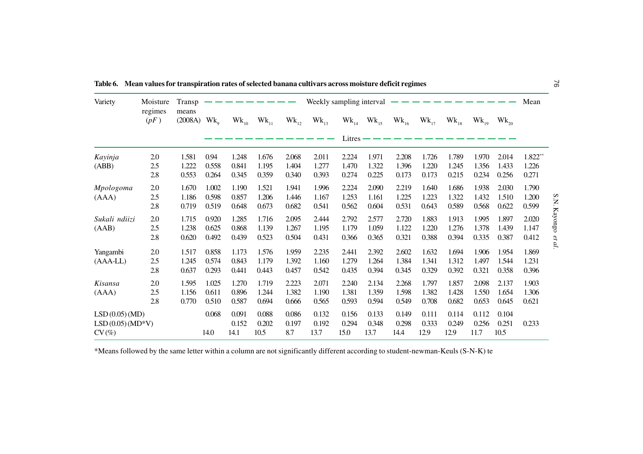| Variety                                          | Moisture<br>regimes | Transp<br>means           |                         |                          | ____                    |                         | Weekly sampling interval |                         |                         | ____                    |                         |                         |                         |                         | Mean                      |                        |
|--------------------------------------------------|---------------------|---------------------------|-------------------------|--------------------------|-------------------------|-------------------------|--------------------------|-------------------------|-------------------------|-------------------------|-------------------------|-------------------------|-------------------------|-------------------------|---------------------------|------------------------|
|                                                  | (pF)                | $(2008A)$ Wk <sub>o</sub> |                         | $\operatorname{Wk}_{10}$ | $\text{Wk}_{11}$        | $\text{Wk}_{12}$        | $\text{Wk}_{13}$         | $\text{Wk}_{14}$        | $\text{Wk}_{15}$        | $\text{Wk}_{16}$        | $\text{Wk}_{17}$        | $\text{Wk}_{18}$        | $\text{Wk}_{19}$        | $\text{Wk}_{20}$        |                           |                        |
|                                                  |                     |                           |                         |                          |                         |                         |                          |                         | $Litres$ — — —          |                         |                         |                         |                         |                         |                           |                        |
| Kayinja<br>(ABB)                                 | 2.0<br>2.5<br>2.8   | 1.581<br>1.222<br>0.553   | 0.94<br>0.558<br>0.264  | 1.248<br>0.841<br>0.345  | 1.676<br>1.195<br>0.359 | 2.068<br>1.404<br>0.340 | 2.011<br>1.277<br>0.393  | 2.224<br>1.470<br>0.274 | 1.971<br>1.322<br>0.225 | 2.208<br>1.396<br>0.173 | 1.726<br>1.220<br>0.173 | 1.789<br>1.245<br>0.215 | 1.970<br>1.356<br>0.234 | 2.014<br>1.433<br>0.256 | 1.822**<br>1.226<br>0.271 |                        |
| Mpologoma<br>(AAA)                               | 2.0<br>2.5<br>2.8   | 1.670<br>1.186<br>0.719   | 1.002<br>0.598<br>0.519 | 1.190<br>0.857<br>0.648  | 1.521<br>1.206<br>0.673 | 1.941<br>1.446<br>0.682 | 1.996<br>1.167<br>0.541  | 2.224<br>1.253<br>0.562 | 2.090<br>1.161<br>0.604 | 2.219<br>1.225<br>0.531 | 1.640<br>1.223<br>0.643 | 1.686<br>1.322<br>0.589 | 1.938<br>1.432<br>0.568 | 2.030<br>1.510<br>0.622 | 1.790<br>1.200<br>0.599   |                        |
| Sukali ndiizi<br>(AAB)                           | 2.0<br>2.5<br>2.8   | 1.715<br>1.238<br>0.620   | 0.920<br>0.625<br>0.492 | 1.285<br>0.868<br>0.439  | 1.716<br>1.139<br>0.523 | 2.095<br>1.267<br>0.504 | 2.444<br>1.195<br>0.431  | 2.792<br>1.179<br>0.366 | 2.577<br>1.059<br>0.365 | 2.720<br>1.122<br>0.321 | 1.883<br>1.220<br>0.388 | 1.913<br>1.276<br>0.394 | 1.995<br>1.378<br>0.335 | 1.897<br>1.439<br>0.387 | 2.020<br>1.147<br>0.412   | S.N. Kayongo<br>et al. |
| Yangambi<br>$(AAA-LL)$                           | 2.0<br>2.5<br>2.8   | 1.517<br>1.245<br>0.637   | 0.858<br>0.574<br>0.293 | 1.173<br>0.843<br>0.441  | 1.576<br>1.179<br>0.443 | 1.959<br>1.392<br>0.457 | 2.235<br>1.160<br>0.542  | 2.441<br>1.279<br>0.435 | 2.392<br>1.264<br>0.394 | 2.602<br>1.384<br>0.345 | 1.632<br>1.341<br>0.329 | 1.694<br>1.312<br>0.392 | 1.906<br>1.497<br>0.321 | 1.954<br>1.544<br>0.358 | 1.869<br>1.231<br>0.396   |                        |
| Kisansa<br>(AAA)                                 | 2.0<br>2.5<br>2.8   | 1.595<br>1.156<br>0.770   | 1.025<br>0.611<br>0.510 | 1.270<br>0.896<br>0.587  | 1.719<br>1.244<br>0.694 | 2.223<br>1.382<br>0.666 | 2.071<br>1.190<br>0.565  | 2.240<br>1.381<br>0.593 | 2.134<br>1.359<br>0.594 | 2.268<br>1.598<br>0.549 | 1.797<br>1.382<br>0.708 | 1.857<br>1.428<br>0.682 | 2.098<br>1.550<br>0.653 | 2.137<br>1.654<br>0.645 | 1.903<br>1.306<br>0.621   |                        |
| LSD(0.05) (MD)<br>$LSD(0.05) (MD*V)$<br>$CV(\%)$ |                     |                           | 0.068<br>14.0           | 0.091<br>0.152<br>14.1   | 0.088<br>0.202<br>10.5  | 0.086<br>0.197<br>8.7   | 0.132<br>0.192<br>13.7   | 0.156<br>0.294<br>15.0  | 0.133<br>0.348<br>13.7  | 0.149<br>0.298<br>14.4  | 0.111<br>0.333<br>12.9  | 0.114<br>0.249<br>12.9  | 0.112<br>0.256<br>11.7  | 0.104<br>0.251<br>10.5  | 0.233                     |                        |

\*Means followed by the same letter within a column are not significantly different according to student-newman-Keuls (S-N-K) te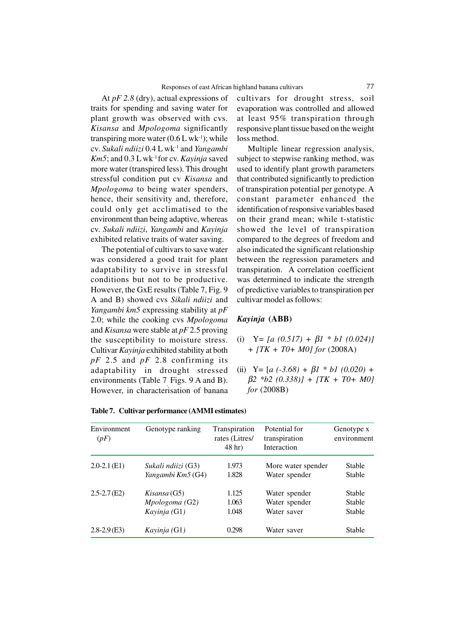At *pF 2.8* (dry), actual expressions of traits for spending and saving water for plant growth was observed with cvs. *Kisansa* and *Mpologoma* significantly transpiring more water  $(0.6 L w k^{-1})$ ; while cv. *Sukali ndiizi* 0.4 L wk-1 and *Yangambi Km5*; and 0.3 L wk-1 for cv. *Kayinja* saved more water (transpired less). This drought stressful condition put cv *Kisansa* and *Mpologoma* to being water spenders, hence, their sensitivity and, therefore, could only get acclimatised to the environment than being adaptive, whereas cv. *Sukali ndiizi*, *Yangambi* and *Kayinja* exhibited relative traits of water saving.

The potential of cultivars to save water was considered a good trait for plant adaptability to survive in stressful conditions but not to be productive. However, the GxE results (Table 7, Fig. 9 A and B) showed cvs *Sikali ndiizi* and *Yangambi km5* expressing stability at *pF* 2.0; while the cooking cvs *Mpologoma* and *Kisansa* were stable at *pF* 2.5 proving the susceptibility to moisture stress. Cultivar *Kayinja* exhibited stability at both *pF* 2.5 and *pF* 2.8 confirming its adaptability in drought stressed environments (Table 7 Figs.  $9$  A and B). However, in characterisation of banana cultivars for drought stress, soil evaporation was controlled and allowed at least 95% transpiration through responsive plant tissue based on the weight loss method.

Multiple linear regression analysis, subject to stepwise ranking method, was used to identify plant growth parameters that contributed significantly to prediction of transpiration potential per genotype. A constant parameter enhanced the identification of responsive variables based on their grand mean; while t-statistic showed the level of transpiration compared to the degrees of freedom and also indicated the significant relationship between the regression parameters and transpiration. A correlation coefficient was determined to indicate the strength of predictive variables to transpiration per cultivar model as follows:

#### *Kayinja* **(ABB)**

- (i) Y= *[a (0.517) +* β*1 \* b1 (0.024)] + [TK + T0+ M0] for* (2008A)
- (ii) Y= [*a (-3.68) +* β*1 \* b1 (0.020) +* β*2 \*b2 (0.338)] + [TK + T0+ M0] for* (2008B)

| Environment<br>(pF) | Genotype ranking    | Transpiration<br>rates (Litres/<br>$48hr$ ) | Potential for<br>transpiration<br>Interaction | Genotype x<br>environment |
|---------------------|---------------------|---------------------------------------------|-----------------------------------------------|---------------------------|
| $2.0 - 2.1$ (E1)    | Sukali ndiizi (G3)  | 1.973                                       | More water spender                            | <b>Stable</b>             |
|                     | Yangambi Km5 (G4)   | 1.828                                       | Water spender                                 | Stable                    |
| $2.5 - 2.7$ (E2)    | <i>Kisansa</i> (G5) | 1.125                                       | Water spender                                 | Stable                    |
|                     | Mpologoma (G2)      | 1.063                                       | Water spender                                 | <b>Stable</b>             |
|                     | Kayinja (G1)        | 1.048                                       | Water saver                                   | Stable                    |
| $2.8 - 2.9$ (E3)    | <i>Kayinja</i> (G1) | 0.298                                       | Water saver                                   | Stable                    |

**Table 7. Cultivar performance (AMMI estimates)**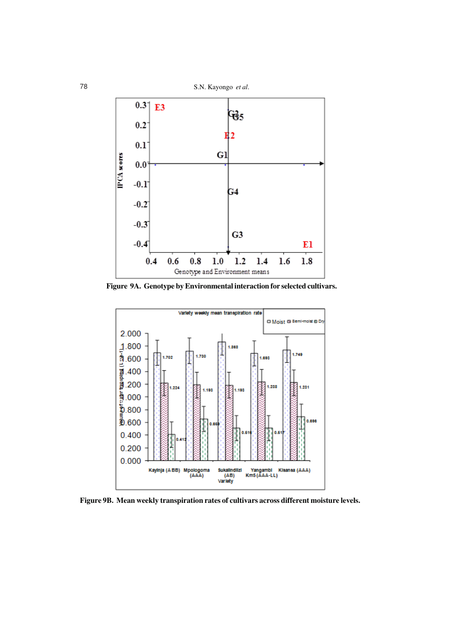78 S.N. Kayongo *et al*.



**Figure 9A. Genotype by Environmental interaction for selected cultivars.**



**Figure 9B. Mean weekly transpiration rates of cultivars across different moisture levels.**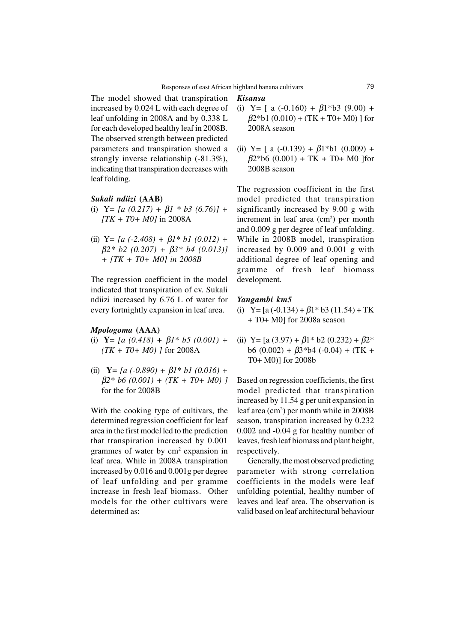The model showed that transpiration increased by 0.024 L with each degree of leaf unfolding in 2008A and by 0.338 L for each developed healthy leaf in 2008B. The observed strength between predicted parameters and transpiration showed a strongly inverse relationship (-81.3%), indicating that transpiration decreases with leaf folding.

## *Sukali ndiizi* **(AAB)**

- (i) Y= *[a (0.217) +* β*1 \* b3 (6.76)] + [TK + T0+ M0]* in 2008A
- (ii) Y= *[a (-2.408) +* β*1\* b1 (0.012) +* β*2\* b2 (0.207) +* β*3\* b4 (0.013)] + [TK + T0+ M0] in 2008B*

The regression coefficient in the model indicated that transpiration of cv. Sukali ndiizi increased by 6.76 L of water for every fortnightly expansion in leaf area.

#### *Mpologoma* **(AAA)**

- (i) **Y**= *[a (0.418) +* β*1\* b5 (0.001) + (TK + T0+ M0) ]* for 2008A
- (ii) **Y**= *[a (-0.890) +* β*1\* b1 (0.016) +* β*2\* b6 (0.001) + (TK + T0+ M0) ]* for the for 2008B

With the cooking type of cultivars, the determined regression coefficient for leaf area in the first model led to the prediction that transpiration increased by 0.001 grammes of water by cm<sup>2</sup> expansion in leaf area. While in 2008A transpiration increased by 0.016 and 0.001g per degree of leaf unfolding and per gramme increase in fresh leaf biomass. Other models for the other cultivars were determined as:

#### *Kisansa*

- (i) Y =  $[a (-0.160) + \beta 1 * b3 (9.00) +$  $\beta$ 2\*b1 (0.010) + (TK + T0+ M0) ] for 2008A season
- (ii) Y =  $[a (0.139) + \beta 1* b1 (0.009) +$  $\beta$ 2\*b6 (0.001) + TK + T0+ M0 ]for 2008B season

The regression coefficient in the first model predicted that transpiration significantly increased by 9.00 g with increment in leaf area (cm<sup>2</sup>) per month and 0.009 g per degree of leaf unfolding. While in 2008B model, transpiration increased by 0.009 and 0.001 g with additional degree of leaf opening and gramme of fresh leaf biomass development.

#### *Yangambi km5*

- (i)  $Y = [a(-0.134) + \beta 1 * b3(11.54) + TK]$ + T0+ M0] for 2008a season
- (ii)  $Y = [a (3.97) + \beta 1 * b2 (0.232) + \beta 2 *$ b6  $(0.002) + \beta 3* b4 (-0.04) + (TK +$ T0+ M0)] for 2008b

Based on regression coefficients, the first model predicted that transpiration increased by 11.54 g per unit expansion in leaf area (cm<sup>2</sup>) per month while in 2008B season, transpiration increased by 0.232 0.002 and -0.04 g for healthy number of leaves, fresh leaf biomass and plant height, respectively.

Generally, the most observed predicting parameter with strong correlation coefficients in the models were leaf unfolding potential, healthy number of leaves and leaf area. The observation is valid based on leaf architectural behaviour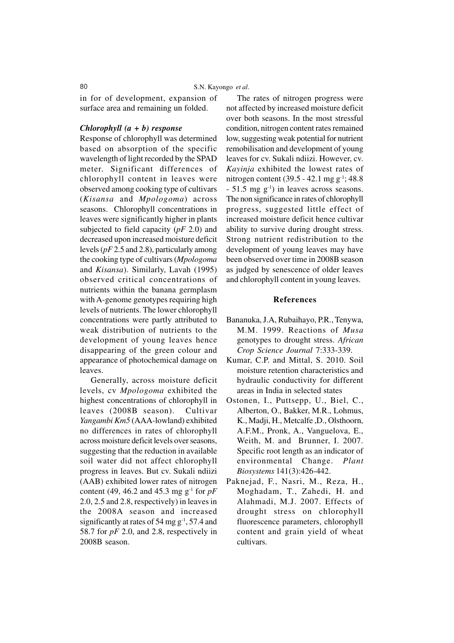in for of development, expansion of surface area and remaining un folded.

## *Chlorophyll (a + b) response*

Response of chlorophyll was determined based on absorption of the specific wavelength of light recorded by the SPAD meter. Significant differences of chlorophyll content in leaves were observed among cooking type of cultivars (*Kisansa* and *Mpologoma*) across seasons. Chlorophyll concentrations in leaves were significantly higher in plants subjected to field capacity (*pF* 2.0) and decreased upon increased moisture deficit levels (*pF* 2.5 and 2.8), particularly among the cooking type of cultivars (*Mpologoma* and *Kisansa*). Similarly, Lavah (1995) observed critical concentrations of nutrients within the banana germplasm with A-genome genotypes requiring high levels of nutrients. The lower chlorophyll concentrations were partly attributed to weak distribution of nutrients to the development of young leaves hence disappearing of the green colour and appearance of photochemical damage on leaves.

Generally, across moisture deficit levels, cv *Mpologoma* exhibited the highest concentrations of chlorophyll in leaves (2008B season). Cultivar *Yangambi Km5* (AAA-lowland) exhibited no differences in rates of chlorophyll across moisture deficit levels over seasons, suggesting that the reduction in available soil water did not affect chlorophyll progress in leaves. But cv. Sukali ndiizi (AAB) exhibited lower rates of nitrogen content (49, 46.2 and 45.3 mg  $g^{-1}$  for  $pF$ 2.0, 2.5 and 2.8, respectively) in leaves in the 2008A season and increased significantly at rates of 54 mg  $g^{-1}$ , 57.4 and 58.7 for *pF* 2.0, and 2.8, respectively in 2008B season.

The rates of nitrogen progress were not affected by increased moisture deficit over both seasons. In the most stressful condition, nitrogen content rates remained low, suggesting weak potential for nutrient remobilisation and development of young leaves for cv. Sukali ndiizi. However, cv. *Kayinja* exhibited the lowest rates of nitrogen content (39.5 - 42.1 mg  $g^{-1}$ ; 48.8 - 51.5 mg g-1) in leaves across seasons. The non significance in rates of chlorophyll progress, suggested little effect of increased moisture deficit hence cultivar ability to survive during drought stress. Strong nutrient redistribution to the development of young leaves may have been observed over time in 2008B season as judged by senescence of older leaves and chlorophyll content in young leaves.

#### **References**

- Bananuka, J.A, Rubaihayo, P.R., Tenywa, M.M. 1999. Reactions of *Musa* genotypes to drought stress. *African Crop Science Journal* 7:333-339.
- Kumar, C.P. and Mittal, S. 2010. Soil moisture retention characteristics and hydraulic conductivity for different areas in India in selected states
- Ostonen, I., Puttsepp, U., Biel, C., Alberton, O., Bakker, M.R., Lohmus, K., Madji, H., Metcalfe ,D., Olsthoorn, A.F.M., Pronk, A., Vanguelova, E., Weith, M. and Brunner, I. 2007. Specific root length as an indicator of environmental Change. *Plant Biosystems* 141(3):426-442.
- Paknejad, F., Nasri, M., Reza, H., Moghadam, T., Zahedi, H. and Alahmadi, M.J. 2007. Effects of drought stress on chlorophyll fluorescence parameters, chlorophyll content and grain yield of wheat cultivars.